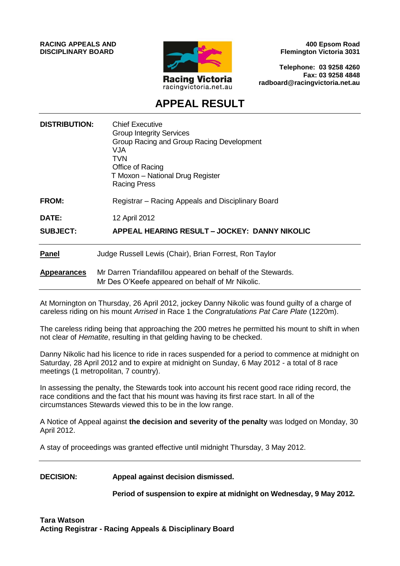**RACING APPEALS AND DISCIPLINARY BOARD**



**400 Epsom Road Flemington Victoria 3031**

**Telephone: 03 9258 4260 Fax: 03 9258 4848 radboard@racingvictoria.net.au**

# **APPEAL RESULT**

| <b>DISTRIBUTION:</b> | <b>Chief Executive</b><br><b>Group Integrity Services</b><br>Group Racing and Group Racing Development<br><b>VJA</b><br><b>TVN</b><br>Office of Racing<br>T Moxon - National Drug Register<br><b>Racing Press</b> |
|----------------------|-------------------------------------------------------------------------------------------------------------------------------------------------------------------------------------------------------------------|
| <b>FROM:</b>         | Registrar - Racing Appeals and Disciplinary Board                                                                                                                                                                 |
| DATE:                | 12 April 2012                                                                                                                                                                                                     |
| <b>SUBJECT:</b>      | APPEAL HEARING RESULT - JOCKEY: DANNY NIKOLIC                                                                                                                                                                     |
| <b>Panel</b>         | Judge Russell Lewis (Chair), Brian Forrest, Ron Taylor                                                                                                                                                            |
| <b>Appearances</b>   | Mr Darren Triandafillou appeared on behalf of the Stewards.<br>Mr Des O'Keefe appeared on behalf of Mr Nikolic.                                                                                                   |

At Mornington on Thursday, 26 April 2012, jockey Danny Nikolic was found guilty of a charge of careless riding on his mount *Arrised* in Race 1 the *Congratulations Pat Care Plate* (1220m).

The careless riding being that approaching the 200 metres he permitted his mount to shift in when not clear of *Hematite*, resulting in that gelding having to be checked.

Danny Nikolic had his licence to ride in races suspended for a period to commence at midnight on Saturday, 28 April 2012 and to expire at midnight on Sunday, 6 May 2012 - a total of 8 race meetings (1 metropolitan, 7 country).

In assessing the penalty, the Stewards took into account his recent good race riding record, the race conditions and the fact that his mount was having its first race start. In all of the circumstances Stewards viewed this to be in the low range.

A Notice of Appeal against **the decision and severity of the penalty** was lodged on Monday, 30 April 2012.

A stay of proceedings was granted effective until midnight Thursday, 3 May 2012.

**DECISION: Appeal against decision dismissed.**

**Period of suspension to expire at midnight on Wednesday, 9 May 2012.**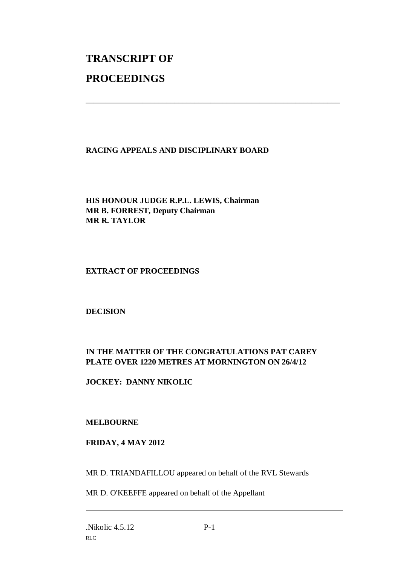# **TRANSCRIPT OF PROCEEDINGS**

## **RACING APPEALS AND DISCIPLINARY BOARD**

\_\_\_\_\_\_\_\_\_\_\_\_\_\_\_\_\_\_\_\_\_\_\_\_\_\_\_\_\_\_\_\_\_\_\_\_\_\_\_\_\_\_\_\_\_\_\_\_\_\_\_\_\_\_\_\_\_\_\_\_\_\_\_

**HIS HONOUR JUDGE R.P.L. LEWIS, Chairman MR B. FORREST, Deputy Chairman MR R. TAYLOR**

## **EXTRACT OF PROCEEDINGS**

#### **DECISION**

# **IN THE MATTER OF THE CONGRATULATIONS PAT CAREY PLATE OVER 1220 METRES AT MORNINGTON ON 26/4/12**

**JOCKEY: DANNY NIKOLIC**

# **MELBOURNE**

# **FRIDAY, 4 MAY 2012**

MR D. TRIANDAFILLOU appeared on behalf of the RVL Stewards

MR D. O'KEEFFE appeared on behalf of the Appellant